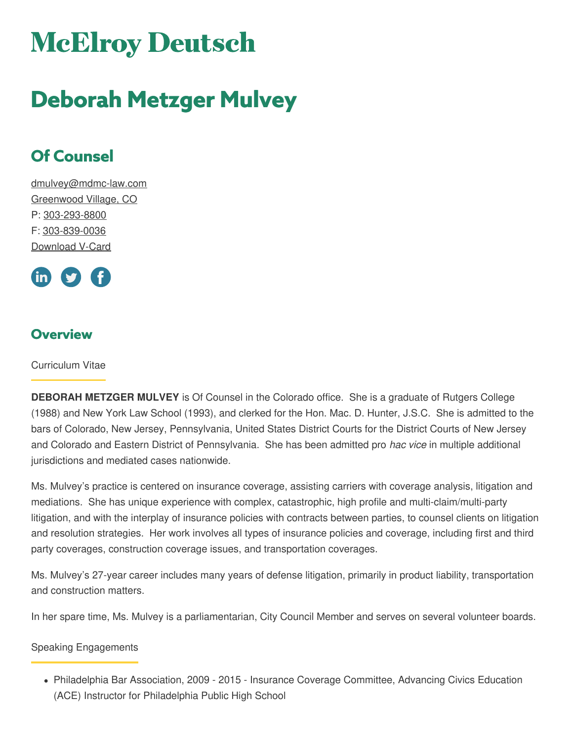# **McElroy Deutsch**

## **Deborah Metzger Mulvey**

## **Of Counsel**

[dmulvey@mdmc-law.com](mailto:dmulvey@mdmc-law.com) [Greenwood](https://www.mdmc-law.com/offices/greenwood-village) Village, CO P: [303-293-8800](tel:303-293-8800) F: [303-839-0036](tel:303-839-0036) [Download](https://www.mdmc-law.com/node/2244/vcard) V-Card



## **Overview**

Curriculum Vitae

**DEBORAH METZGER MULVEY** is Of Counsel in the Colorado office. She is a graduate of Rutgers College (1988) and New York Law School (1993), and clerked for the Hon. Mac. D. Hunter, J.S.C. She is admitted to the bars of Colorado, New Jersey, Pennsylvania, United States District Courts for the District Courts of New Jersey and Colorado and Eastern District of Pennsylvania. She has been admitted pro *hac vice* in multiple additional jurisdictions and mediated cases nationwide.

Ms. Mulvey's practice is centered on insurance coverage, assisting carriers with coverage analysis, litigation and mediations. She has unique experience with complex, catastrophic, high profile and multi-claim/multi-party litigation, and with the interplay of insurance policies with contracts between parties, to counsel clients on litigation and resolution strategies. Her work involves all types of insurance policies and coverage, including first and third party coverages, construction coverage issues, and transportation coverages.

Ms. Mulvey's 27-year career includes many years of defense litigation, primarily in product liability, transportation and construction matters.

In her spare time, Ms. Mulvey is a parliamentarian, City Council Member and serves on several volunteer boards.

#### Speaking Engagements

Philadelphia Bar Association, 2009 - 2015 - Insurance Coverage Committee, Advancing Civics Education (ACE) Instructor for Philadelphia Public High School